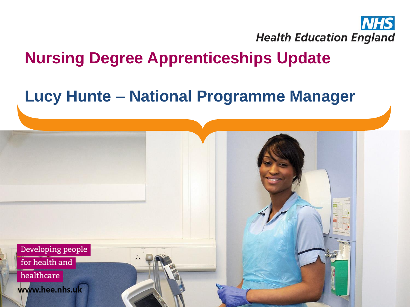

### **Nursing Degree Apprenticeships Update**

### **Lucy Hunte – National Programme Manager**

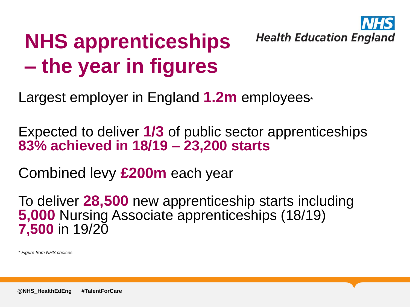

## **NHS apprenticeships – the year in figures**

Largest employer in England **1.2m** employees\*

Expected to deliver **1/3** of public sector apprenticeships **83% achieved in 18/19 – 23,200 starts**

Combined levy **£200m** each year

To deliver **28,500** new apprenticeship starts including **5,000** Nursing Associate apprenticeships (18/19) **7,500** in 19/20

*\* Figure from NHS choices*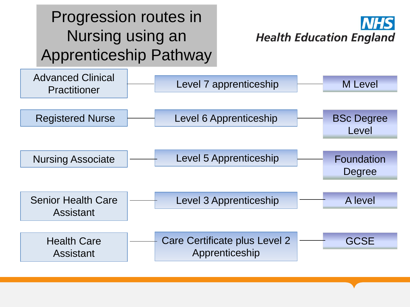### Progression routes in Nursing using an Apprenticeship Pathway

**Health Education England** 

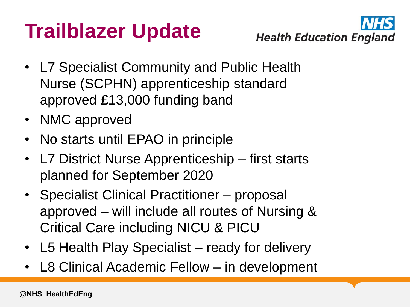## **Trailblazer Update**



- L7 Specialist Community and Public Health Nurse (SCPHN) apprenticeship standard approved £13,000 funding band
- NMC approved
- No starts until EPAO in principle
- L7 District Nurse Apprenticeship first starts planned for September 2020
- Specialist Clinical Practitioner proposal approved – will include all routes of Nursing & Critical Care including NICU & PICU
- L5 Health Play Specialist ready for delivery
- L8 Clinical Academic Fellow in development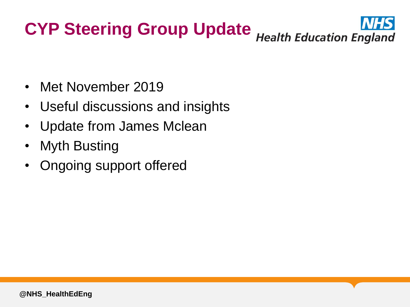# **CYP Steering Group Update** Health Education England

- Met November 2019
- Useful discussions and insights
- Update from James Mclean
- Myth Busting
- Ongoing support offered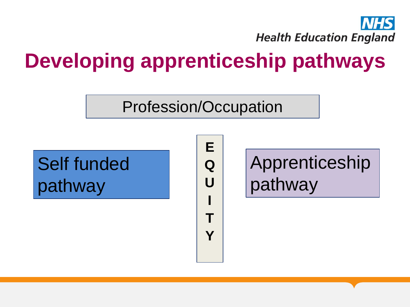

### **Developing apprenticeship pathways**

#### Profession/Occupation

Self funded pathway

**E Q U I T Y**

Apprenticeship pathway